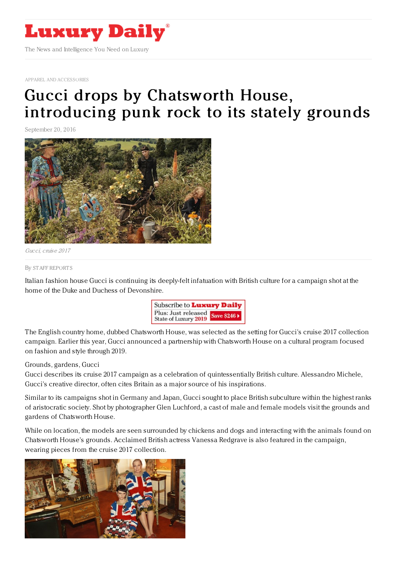

APPAREL AND [ACCESSORIES](https://www.luxurydaily.com/category/sectors/apparel-and-accessories/)

## Gucci drops by Chatsworth House, [introducing](https://www.luxurydaily.com/gucci-drops-by-chatsworth-house-introducing-punk-rock-to-its-stately-grounds/) punk rock to its stately grounds

September 20, 2016



Gucci, cruise 2017

By STAFF [REPORT](file:///author/staff-reports) S

Italian fashion house Gucci is continuing its deeply-felt infatuation with British culture for a campaign shot at the home of the Duke and Duchess of Devonshire.



The English country home, dubbed Chatsworth House, was selected as the setting for Gucci's cruise 2017 collection campaign. Earlier this year, Gucci announced a partnership with Chatsworth House on a cultural program focused on fashion and style through 2019.

## Grounds, gardens, Gucci

Gucci describes its cruise 2017 campaign as a celebration of quintessentially British culture. Alessandro Michele, Gucci's creative director, often cites Britain as a major source of his inspirations.

Similar to its campaigns shot in Germany and Japan, Gucci sought to place British subculture within the highest ranks of aristocratic society. Shot by photographer Glen Luchford, a cast of male and female models visit the grounds and gardens of Chatsworth House.

While on location, the models are seen surrounded by chickens and dogs and interacting with the animals found on Chatsworth House's grounds. Acclaimed British actress Vanessa Redgrave is also featured in the campaign, wearing pieces from the cruise 2017 collection.